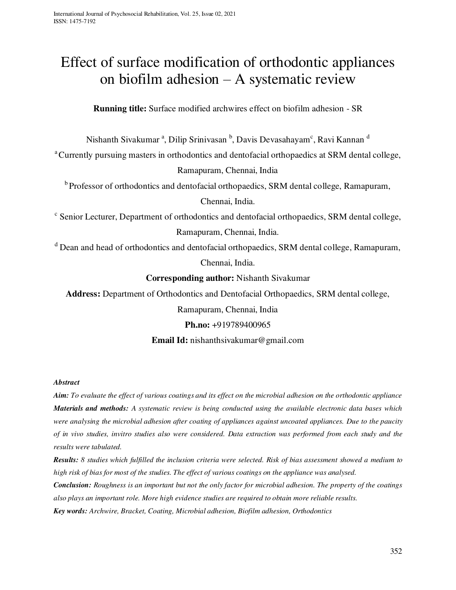# Effect of surface modification of orthodontic appliances on biofilm adhesion – A systematic review

**Running title:** Surface modified archwires effect on biofilm adhesion - SR

Nishanth Sivakumar <sup>a</sup>, Dilip Srinivasan <sup>b</sup>, Davis Devasahayam<sup>c</sup>, Ravi Kannan <sup>d</sup>

<sup>a</sup>Currently pursuing masters in orthodontics and dentofacial orthopaedics at SRM dental college,

Ramapuram, Chennai, India

<sup>b</sup> Professor of orthodontics and dentofacial orthopaedics, SRM dental college, Ramapuram,

Chennai, India.

<sup>c</sup> Senior Lecturer, Department of orthodontics and dentofacial orthopaedics, SRM dental college, Ramapuram, Chennai, India.

<sup>d</sup> Dean and head of orthodontics and dentofacial orthopaedics, SRM dental college, Ramapuram,

Chennai, India.

**Corresponding author:** Nishanth Sivakumar

**Address:** Department of Orthodontics and Dentofacial Orthopaedics, SRM dental college,

Ramapuram, Chennai, India

## **Ph.no:** +919789400965

## **Email Id:** nishanthsivakumar@gmail.com

## *Abstract*

*Aim: To evaluate the effect of various coatings and its effect on the microbial adhesion on the orthodontic appliance Materials and methods: A systematic review is being conducted using the available electronic data bases which were analysing the microbial adhesion after coating of appliances against uncoated appliances. Due to the paucity of in vivo studies, invitro studies also were considered. Data extraction was performed from each study and the results were tabulated.* 

*Results: 8 studies which fulfilled the inclusion criteria were selected. Risk of bias assessment showed a medium to high risk of bias for most of the studies. The effect of various coatings on the appliance was analysed.* 

*Conclusion: Roughness is an important but not the only factor for microbial adhesion. The property of the coatings also plays an important role. More high evidence studies are required to obtain more reliable results.*

*Key words: Archwire, Bracket, Coating, Microbial adhesion, Biofilm adhesion, Orthodontics*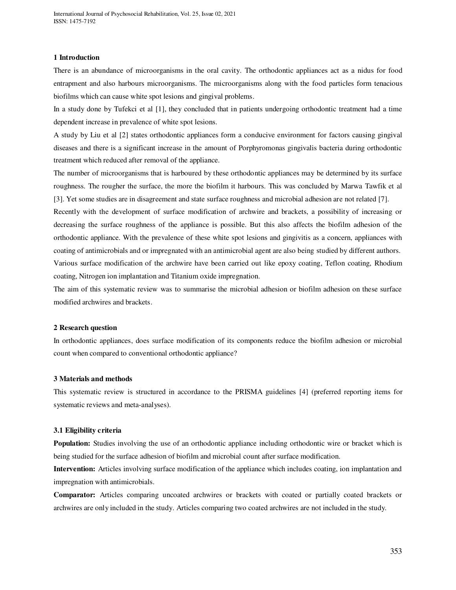## **1 Introduction**

There is an abundance of microorganisms in the oral cavity. The orthodontic appliances act as a nidus for food entrapment and also harbours microorganisms. The microorganisms along with the food particles form tenacious biofilms which can cause white spot lesions and gingival problems.

In a study done by Tufekci et al [1], they concluded that in patients undergoing orthodontic treatment had a time dependent increase in prevalence of white spot lesions.

A study by Liu et al [2] states orthodontic appliances form a conducive environment for factors causing gingival diseases and there is a significant increase in the amount of Porphyromonas gingivalis bacteria during orthodontic treatment which reduced after removal of the appliance.

The number of microorganisms that is harboured by these orthodontic appliances may be determined by its surface roughness. The rougher the surface, the more the biofilm it harbours. This was concluded by Marwa Tawfik et al [3]. Yet some studies are in disagreement and state surface roughness and microbial adhesion are not related [7].

Recently with the development of surface modification of archwire and brackets, a possibility of increasing or decreasing the surface roughness of the appliance is possible. But this also affects the biofilm adhesion of the orthodontic appliance. With the prevalence of these white spot lesions and gingivitis as a concern, appliances with coating of antimicrobials and or impregnated with an antimicrobial agent are also being studied by different authors. Various surface modification of the archwire have been carried out like epoxy coating, Teflon coating, Rhodium coating, Nitrogen ion implantation and Titanium oxide impregnation.

The aim of this systematic review was to summarise the microbial adhesion or biofilm adhesion on these surface modified archwires and brackets.

### **2 Research question**

In orthodontic appliances, does surface modification of its components reduce the biofilm adhesion or microbial count when compared to conventional orthodontic appliance?

#### **3 Materials and methods**

This systematic review is structured in accordance to the PRISMA guidelines [4] (preferred reporting items for systematic reviews and meta-analyses).

### **3.1 Eligibility criteria**

**Population:** Studies involving the use of an orthodontic appliance including orthodontic wire or bracket which is being studied for the surface adhesion of biofilm and microbial count after surface modification.

**Intervention:** Articles involving surface modification of the appliance which includes coating, ion implantation and impregnation with antimicrobials.

**Comparator:** Articles comparing uncoated archwires or brackets with coated or partially coated brackets or archwires are only included in the study. Articles comparing two coated archwires are not included in the study.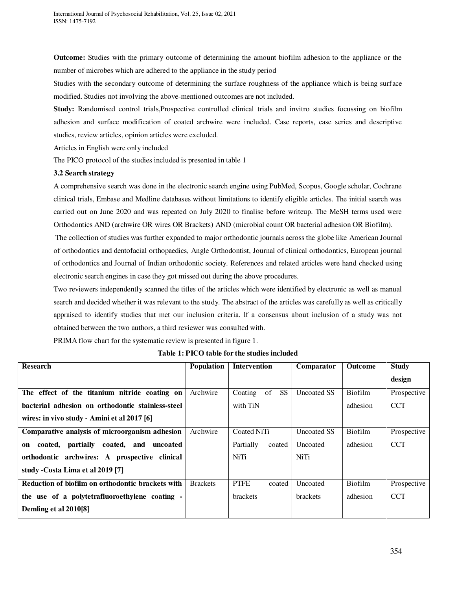**Outcome:** Studies with the primary outcome of determining the amount biofilm adhesion to the appliance or the number of microbes which are adhered to the appliance in the study period

Studies with the secondary outcome of determining the surface roughness of the appliance which is being surface modified. Studies not involving the above-mentioned outcomes are not included.

**Study:** Randomised control trials,Prospective controlled clinical trials and invitro studies focussing on biofilm adhesion and surface modification of coated archwire were included. Case reports, case series and descriptive studies, review articles, opinion articles were excluded.

Articles in English were only included

The PICO protocol of the studies included is presented in table 1

## **3.2 Search strategy**

A comprehensive search was done in the electronic search engine using PubMed, Scopus, Google scholar, Cochrane clinical trials, Embase and Medline databases without limitations to identify eligible articles. The initial search was carried out on June 2020 and was repeated on July 2020 to finalise before writeup. The MeSH terms used were Orthodontics AND (archwire OR wires OR Brackets) AND (microbial count OR bacterial adhesion OR Biofilm).

 The collection of studies was further expanded to major orthodontic journals across the globe like American Journal of orthodontics and dentofacial orthopaedics, Angle Orthodontist, Journal of clinical orthodontics, European journal of orthodontics and Journal of Indian orthodontic society. References and related articles were hand checked using electronic search engines in case they got missed out during the above procedures.

Two reviewers independently scanned the titles of the articles which were identified by electronic as well as manual search and decided whether it was relevant to the study. The abstract of the articles was carefully as well as critically appraised to identify studies that met our inclusion criteria. If a consensus about inclusion of a study was not obtained between the two authors, a third reviewer was consulted with.

PRIMA flow chart for the systematic review is presented in figure 1.

| <b>Research</b>                                   | Population      | <b>Intervention</b>        | Comparator         | Outcome  | <b>Study</b> |
|---------------------------------------------------|-----------------|----------------------------|--------------------|----------|--------------|
|                                                   |                 |                            |                    |          | design       |
| The effect of the titanium nitride coating on     | Archwire        | of<br>Coating<br><b>SS</b> | <b>Uncoated SS</b> | Biofilm  | Prospective  |
| bacterial adhesion on orthodontic stainless-steel |                 | with TiN                   |                    | adhesion | <b>CCT</b>   |
| wires: in vivo study - Amini et al 2017 [6]       |                 |                            |                    |          |              |
| Comparative analysis of microorganism adhesion    | Archwire        | Coated NiTi                | <b>Uncoated SS</b> | Biofilm  | Prospective  |
| partially coated, and uncoated<br>on coated,      |                 | Partially<br>coated        | Uncoated           | adhesion | <b>CCT</b>   |
| orthodontic archwires: A prospective clinical     |                 | NiTi                       | <b>NiTi</b>        |          |              |
| study - Costa Lima et al 2019 [7]                 |                 |                            |                    |          |              |
| Reduction of biofilm on orthodontic brackets with | <b>Brackets</b> | <b>PTFE</b><br>coated      | Uncoated           | Biofilm  | Prospective  |
| the use of a polytetrafluoroethylene coating -    |                 | <b>brackets</b>            | <b>brackets</b>    | adhesion | <b>CCT</b>   |
| Demling et al 2010[8]                             |                 |                            |                    |          |              |

**Table 1: PICO table for the studies included**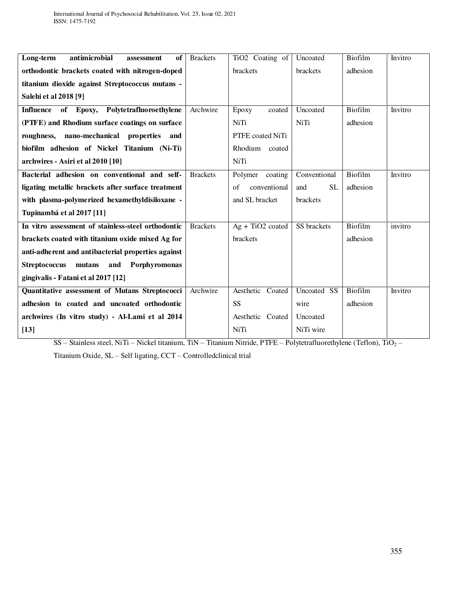| antimicrobial<br>Long-term<br>of<br>assessment           | <b>Brackets</b> | TiO <sub>2</sub> Coating of | Uncoated              | Biofilm  | Invitro |
|----------------------------------------------------------|-----------------|-----------------------------|-----------------------|----------|---------|
| orthodontic brackets coated with nitrogen-doped          |                 | brackets                    | brackets              | adhesion |         |
| titanium dioxide against Streptococcus mutans -          |                 |                             |                       |          |         |
| Salehi et al 2018 [9]                                    |                 |                             |                       |          |         |
| Polytetrafluoroethylene<br><b>Influence</b><br>of Epoxy, | Archwire        | Epoxy<br>coated             | Uncoated              | Biofilm  | Invitro |
| (PTFE) and Rhodium surface coatings on surface           |                 | <b>NiTi</b>                 | <b>NiTi</b>           | adhesion |         |
| roughness, nano-mechanical properties and                |                 | PTFE coated NiTi            |                       |          |         |
| biofilm adhesion of Nickel Titanium (Ni-Ti)              |                 | Rhodium coated              |                       |          |         |
| archwires - Asiri et al 2010 [10]                        |                 | NiTi                        |                       |          |         |
| Bacterial adhesion on conventional and self-             | <b>Brackets</b> | Polymer coating             | Conventional          | Biofilm  | Invitro |
| ligating metallic brackets after surface treatment       |                 | conventional<br>$\sigma$ f  | <b>SL</b><br>and      | adhesion |         |
| with plasma-polymerized hexamethyldisiloxane -           |                 | and SL bracket              | brackets              |          |         |
| Tupinambá et al 2017 [11]                                |                 |                             |                       |          |         |
| In vitro assessment of stainless-steel orthodontic       | <b>Brackets</b> | $Ag + TiO2$ coated          | SS brackets           | Biofilm  | invitro |
| brackets coated with titanium oxide mixed Ag for         |                 | brackets                    |                       | adhesion |         |
| anti-adherent and antibacterial properties against       |                 |                             |                       |          |         |
| <b>Streptococcus</b><br>mutans and Porphyromonas         |                 |                             |                       |          |         |
| gingivalis - Fatani et al 2017 [12]                      |                 |                             |                       |          |         |
| Quantitative assessment of Mutans Streptococci           | Archwire        | Aesthetic Coated            | Uncoated<br><b>SS</b> | Biofilm  | Invitro |
| adhesion to coated and uncoated orthodontic              |                 | <b>SS</b>                   | wire                  | adhesion |         |
| archwires (In vitro study) - Al-Lami et al 2014          |                 | Aesthetic Coated            | Uncoated              |          |         |
| $[13]$                                                   |                 | <b>NiTi</b>                 | NiTi wire             |          |         |

SS – Stainless steel, NiTi – Nickel titanium, TiN – Titanium Nitride, PTFE – Polytetrafluorethylene (Teflon), TiO<sup>2</sup> – Titanium Oxide, SL – Self ligating, CCT – Controlledclinical trial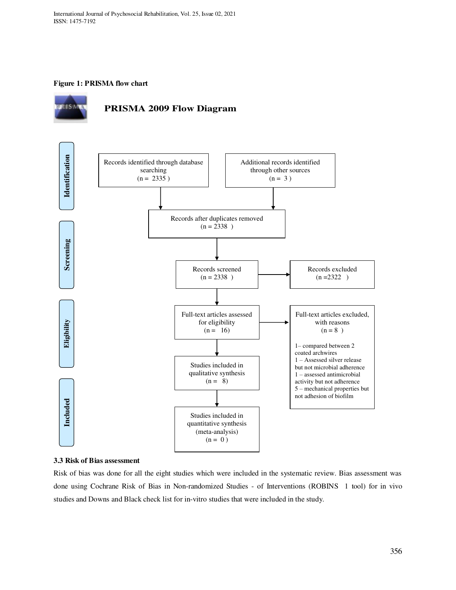## **Figure 1: PRISMA flow chart**





## **3.3 Risk of Bias assessment**

Risk of bias was done for all the eight studies which were included in the systematic review. Bias assessment was done using Cochrane Risk of Bias in Non-randomized Studies - of Interventions (ROBINS 1 tool) for in vivo studies and Downs and Black check list for in-vitro studies that were included in the study.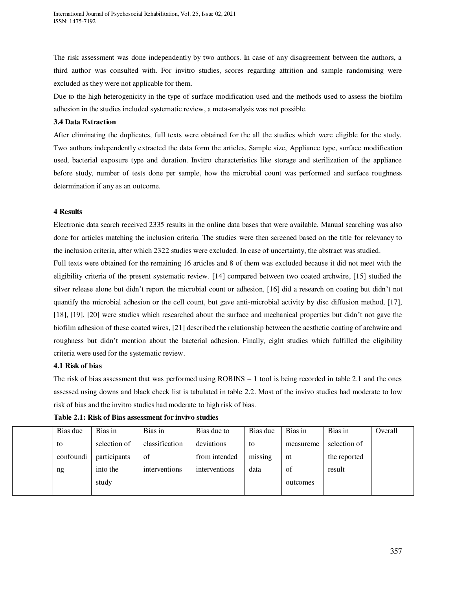The risk assessment was done independently by two authors. In case of any disagreement between the authors, a third author was consulted with. For invitro studies, scores regarding attrition and sample randomising were excluded as they were not applicable for them.

Due to the high heterogenicity in the type of surface modification used and the methods used to assess the biofilm adhesion in the studies included systematic review, a meta-analysis was not possible.

## **3.4 Data Extraction**

After eliminating the duplicates, full texts were obtained for the all the studies which were eligible for the study. Two authors independently extracted the data form the articles. Sample size, Appliance type, surface modification used, bacterial exposure type and duration. Invitro characteristics like storage and sterilization of the appliance before study, number of tests done per sample, how the microbial count was performed and surface roughness determination if any as an outcome.

## **4 Results**

Electronic data search received 2335 results in the online data bases that were available. Manual searching was also done for articles matching the inclusion criteria. The studies were then screened based on the title for relevancy to the inclusion criteria, after which 2322 studies were excluded. In case of uncertainty, the abstract was studied. Full texts were obtained for the remaining 16 articles and 8 of them was excluded because it did not meet with the eligibility criteria of the present systematic review. [14] compared between two coated archwire, [15] studied the silver release alone but didn't report the microbial count or adhesion, [16] did a research on coating but didn't not quantify the microbial adhesion or the cell count, but gave anti-microbial activity by disc diffusion method, [17], [18], [19], [20] were studies which researched about the surface and mechanical properties but didn't not gave the biofilm adhesion of these coated wires, [21] described the relationship between the aesthetic coating of archwire and roughness but didn't mention about the bacterial adhesion. Finally, eight studies which fulfilled the eligibility criteria were used for the systematic review.

## **4.1 Risk of bias**

The risk of bias assessment that was performed using  $ROBINS - 1$  tool is being recorded in table 2.1 and the ones assessed using downs and black check list is tabulated in table 2.2. Most of the invivo studies had moderate to low risk of bias and the invitro studies had moderate to high risk of bias.

| Bias due  | Bias in      | Bias in        | Bias due to   | Bias due | Bias in   | Bias in      | Overall |
|-----------|--------------|----------------|---------------|----------|-----------|--------------|---------|
| to        | selection of | classification | deviations    | to       | measureme | selection of |         |
| confoundi | participants | of             | from intended | missing  | nt        | the reported |         |
| ng        | into the     | interventions  | interventions | data     | of        | result       |         |
|           | study        |                |               |          | outcomes  |              |         |
|           |              |                |               |          |           |              |         |

| Table 2.1: Risk of Bias assessment for invivo studies |  |
|-------------------------------------------------------|--|
|-------------------------------------------------------|--|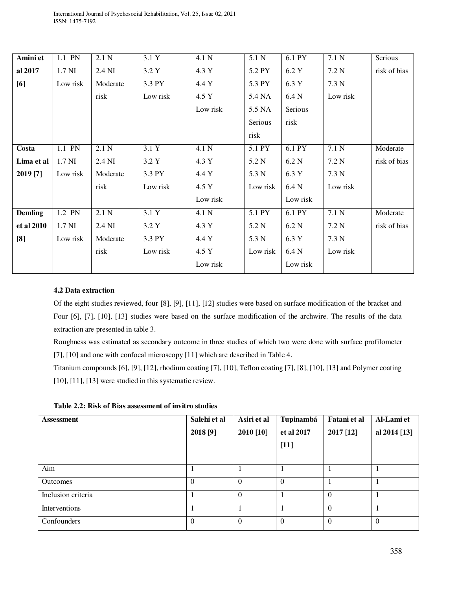| 1.1 PN   | 2.1 N    | 3.1 Y    | 4.1 N    | 5.1 N    | $6.1$ PY | 7.1 <sub>N</sub> | Serious      |
|----------|----------|----------|----------|----------|----------|------------------|--------------|
| 1.7 NI   | 2.4 NI   | 3.2 Y    | 4.3 Y    | 5.2 PY   | 6.2 Y    | 7.2 N            | risk of bias |
| Low risk | Moderate | 3.3 PY   | 4.4 Y    | 5.3 PY   | 6.3 Y    | 7.3 N            |              |
|          | risk     | Low risk | 4.5 Y    | 5.4 NA   | 6.4 N    | Low risk         |              |
|          |          |          | Low risk | 5.5 NA   | Serious  |                  |              |
|          |          |          |          | Serious  | risk     |                  |              |
|          |          |          |          | risk     |          |                  |              |
| 1.1 PN   | 2.1 N    | 3.1 Y    | 4.1 N    | 5.1 PY   | 6.1 PY   | 7.1 N            | Moderate     |
| 1.7 NI   | 2.4 NI   | 3.2 Y    | 4.3 Y    | 5.2 N    | 6.2 N    | 7.2 N            | risk of bias |
| Low risk | Moderate | 3.3 PY   | 4.4 Y    | 5.3 N    | 6.3 Y    | 7.3 N            |              |
|          | risk     | Low risk | 4.5 Y    | Low risk | 6.4 N    | Low risk         |              |
|          |          |          | Low risk |          | Low risk |                  |              |
| 1.2 PN   | 2.1 N    | 3.1 Y    | 4.1 N    | 5.1 PY   | 6.1 PY   | 7.1 <sub>N</sub> | Moderate     |
| 1.7 NI   | 2.4 NI   | 3.2 Y    | 4.3 Y    | 5.2 N    | 6.2 N    | 7.2 N            | risk of bias |
| Low risk | Moderate | 3.3 PY   | 4.4 Y    | 5.3 N    | 6.3 Y    | 7.3 N            |              |
|          | risk     | Low risk | 4.5 Y    | Low risk | 6.4 N    | Low risk         |              |
|          |          |          | Low risk |          | Low risk |                  |              |
|          |          |          |          |          |          |                  |              |

## **4.2 Data extraction**

Of the eight studies reviewed, four [8], [9], [11], [12] studies were based on surface modification of the bracket and Four [6], [7], [10], [13] studies were based on the surface modification of the archwire. The results of the data extraction are presented in table 3.

Roughness was estimated as secondary outcome in three studies of which two were done with surface profilometer [7], [10] and one with confocal microscopy [11] which are described in Table 4.

Titanium compounds [6], [9], [12], rhodium coating [7], [10], Teflon coating [7], [8], [10], [13] and Polymer coating [10], [11], [13] were studied in this systematic review.

**Table 2.2: Risk of Bias assessment of invitro studies** 

| <b>Assessment</b>  | Salehi et al | Asiri et al | Tupinambá  | Fatani et al | Al-Lami et   |
|--------------------|--------------|-------------|------------|--------------|--------------|
|                    | 2018 [9]     | 2010 [10]   | et al 2017 | 2017 [12]    | al 2014 [13] |
|                    |              |             | $[11]$     |              |              |
|                    |              |             |            |              |              |
| Aim                |              |             |            |              |              |
| Outcomes           | $\Omega$     | $\theta$    | $\Omega$   |              |              |
| Inclusion criteria |              | $\theta$    |            | $\Omega$     |              |
| Interventions      |              |             |            | $\Omega$     |              |
| Confounders        | $\Omega$     | $\Omega$    | $\Omega$   | $\Omega$     | $\theta$     |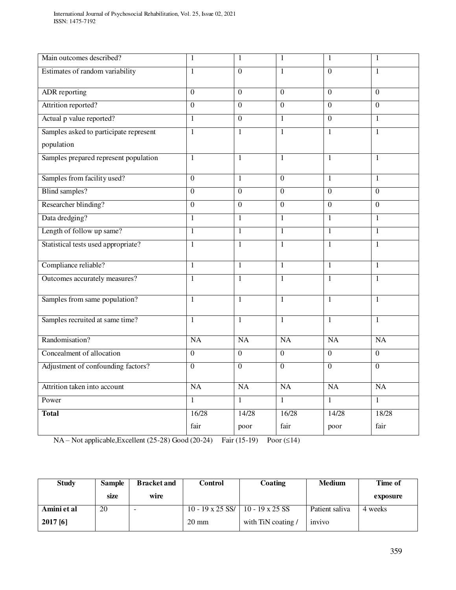| Main outcomes described?               | 1              | $\mathbf{1}$   | $\mathbf{1}$   | 1              | 1              |
|----------------------------------------|----------------|----------------|----------------|----------------|----------------|
| Estimates of random variability        | $\mathbf{1}$   | $\Omega$       | $\mathbf{1}$   | $\overline{0}$ | $\mathbf{1}$   |
| <b>ADR</b> reporting                   | $\overline{0}$ | $\overline{0}$ | $\overline{0}$ | $\overline{0}$ | $\overline{0}$ |
| Attrition reported?                    | $\overline{0}$ | $\overline{0}$ | $\overline{0}$ | $\overline{0}$ | $\overline{0}$ |
| Actual p value reported?               | $\mathbf{1}$   | $\overline{0}$ | $\mathbf{1}$   | $\overline{0}$ | $\mathbf{1}$   |
| Samples asked to participate represent | $\overline{1}$ | $\overline{1}$ | $\overline{1}$ | $\mathbf{1}$   | 1              |
| population                             |                |                |                |                |                |
| Samples prepared represent population  | $\mathbf{1}$   | $\mathbf{1}$   | $\mathbf{1}$   | $\mathbf{1}$   | $\mathbf{1}$   |
| Samples from facility used?            | $\overline{0}$ | $\mathbf{1}$   | $\overline{0}$ | $\mathbf{1}$   | $\mathbf{1}$   |
| <b>Blind samples?</b>                  | $\Omega$       | $\Omega$       | $\Omega$       | $\Omega$       | $\Omega$       |
| Researcher blinding?                   | $\overline{0}$ | $\overline{0}$ | $\overline{0}$ | $\overline{0}$ | $\Omega$       |
| Data dredging?                         | $\mathbf{1}$   | $\mathbf{1}$   | $\mathbf{1}$   | $\mathbf{1}$   | $\mathbf{1}$   |
| Length of follow up same?              | $\mathbf{1}$   | $\mathbf{1}$   | $\mathbf{1}$   | $\mathbf{1}$   | $\mathbf{1}$   |
| Statistical tests used appropriate?    | $\mathbf{1}$   | $\mathbf{1}$   | $\mathbf{1}$   | $\mathbf{1}$   | $\mathbf{1}$   |
| Compliance reliable?                   | $\overline{1}$ | $\overline{1}$ | $\mathbf{1}$   | $\mathbf{1}$   | $\mathbf{1}$   |
| Outcomes accurately measures?          | $\overline{1}$ | $\mathbf{1}$   | $\mathbf{1}$   | $\mathbf{1}$   | $\mathbf{1}$   |
| Samples from same population?          | $\mathbf{1}$   | $\mathbf{1}$   | $\mathbf{1}$   | $\mathbf{1}$   | $\mathbf{1}$   |
| Samples recruited at same time?        | $\mathbf{1}$   | $\mathbf{1}$   | $\mathbf{1}$   | $\mathbf{1}$   | $\mathbf{1}$   |
| Randomisation?                         | NA             | <b>NA</b>      | <b>NA</b>      | <b>NA</b>      | <b>NA</b>      |
| Concealment of allocation              | $\overline{0}$ | $\overline{0}$ | $\overline{0}$ | $\overline{0}$ | $\overline{0}$ |
| Adjustment of confounding factors?     | $\overline{0}$ | $\overline{0}$ | $\overline{0}$ | $\overline{0}$ | $\overline{0}$ |
| Attrition taken into account           | <b>NA</b>      | <b>NA</b>      | <b>NA</b>      | <b>NA</b>      | NA             |
| Power                                  | $\mathbf{1}$   | $\mathbf{1}$   | $\mathbf{1}$   | $\mathbf{1}$   | $\mathbf{1}$   |
| <b>Total</b>                           | 16/28          | 14/28          | 16/28          | 14/28          | 18/28          |
|                                        | fair           | poor           | fair           | poor           | fair           |

 $NA - Not applicable, Excellent (25-28) Good (20-24) Fair (15-19) Poor (≤14)$ 

| <b>Study</b> | <b>Sample</b> | <b>Bracket and</b> | Control          | Coating            | <b>Medium</b>  | Time of  |
|--------------|---------------|--------------------|------------------|--------------------|----------------|----------|
|              | size          | wire               |                  |                    |                | exposure |
| Amini et al  | 20            |                    | 10 - 19 x 25 SS/ | 10 - 19 x 25 SS    | Patient saliva | 4 weeks  |
| $2017$ [6]   |               |                    | $20 \text{ mm}$  | with TiN coating / | invivo         |          |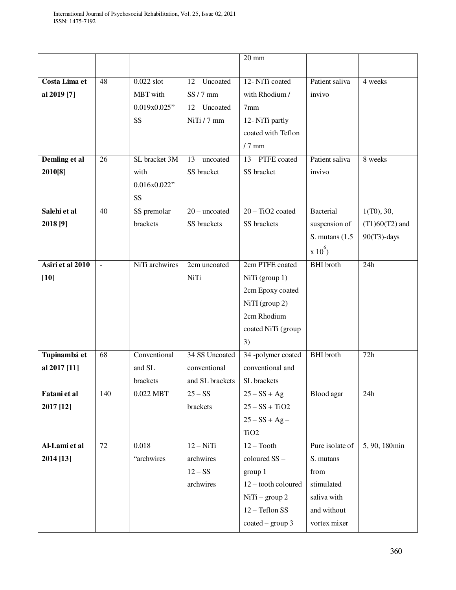|                  |                          |                |                 | $20 \text{ mm}$    |                   |                  |
|------------------|--------------------------|----------------|-----------------|--------------------|-------------------|------------------|
|                  |                          |                |                 |                    |                   |                  |
| Costa Lima et    | $\overline{48}$          | $0.022$ slot   | $12 - Uncoated$ | 12- NiTi coated    | Patient saliva    | 4 weeks          |
| al 2019 [7]      |                          | MBT with       | $SS/7$ mm       | with Rhodium /     | invivo            |                  |
|                  |                          | 0.019x0.025"   | 12 - Uncoated   | 7 <sub>mm</sub>    |                   |                  |
|                  |                          | <b>SS</b>      | NiTi / 7 mm     | 12- NiTi partly    |                   |                  |
|                  |                          |                |                 | coated with Teflon |                   |                  |
|                  |                          |                |                 | $/7$ mm            |                   |                  |
| Demling et al    | 26                       | SL bracket 3M  | $13$ – uncoated | 13 – PTFE coated   | Patient saliva    | 8 weeks          |
| 2010[8]          |                          | with           | SS bracket      | SS bracket         | invivo            |                  |
|                  |                          | 0.016x0.022"   |                 |                    |                   |                  |
|                  |                          | SS             |                 |                    |                   |                  |
| Salehi et al     | $\overline{40}$          | SS premolar    | $20$ – uncoated | $20 - TiO2$ coated | Bacterial         | 1(T0), 30,       |
| 2018 [9]         |                          | brackets       | SS brackets     | SS brackets        | suspension of     | $(T1)60(T2)$ and |
|                  |                          |                |                 |                    | S. mutans $(1.5)$ | $90(T3)$ -days   |
|                  |                          |                |                 |                    | $x 10^{6}$        |                  |
| Asiri et al 2010 |                          | NiTi archwires | 2cm uncoated    | 2cm PTFE coated    | <b>BHI</b> broth  | $\overline{24h}$ |
|                  | $\overline{\phantom{a}}$ |                |                 |                    |                   |                  |
| $[10]$           |                          |                | NiTi            | NiTi (group 1)     |                   |                  |
|                  |                          |                |                 | 2cm Epoxy coated   |                   |                  |
|                  |                          |                |                 | $NiTI$ (group 2)   |                   |                  |
|                  |                          |                |                 | 2cm Rhodium        |                   |                  |
|                  |                          |                |                 | coated NiTi (group |                   |                  |
|                  |                          |                |                 | 3)                 |                   |                  |
| Tupinambá et     | 68                       | Conventional   | 34 SS Uncoated  | 34 -polymer coated | <b>BHI</b> broth  | 72h              |
| al 2017 [11]     |                          | and SL         | conventional    | conventional and   |                   |                  |
|                  |                          | brackets       | and SL brackets | SL brackets        |                   |                  |
| Fatani et al     | 140                      | $0.022$ MBT    | $25 - SS$       | $25 - SS + Ag$     | Blood agar        | 24h              |
| 2017 [12]        |                          |                | brackets        | $25 - SS + TiO2$   |                   |                  |
|                  |                          |                |                 | $25 - SS + Ag -$   |                   |                  |
|                  |                          |                |                 | TiO <sub>2</sub>   |                   |                  |
| Al-Lami et al    | 72                       | 0.018          | $12 - NiTi$     | $12 - Tooth$       | Pure isolate of   | 5, 90, 180min    |
| 2014 [13]        |                          | "archwires     | archwires       | coloured SS-       | S. mutans         |                  |
|                  |                          |                | $12-SS$         | group 1            | from              |                  |
|                  |                          |                | archwires       | 12-tooth coloured  | stimulated        |                  |
|                  |                          |                |                 | $NiTi - group 2$   | saliva with       |                  |
|                  |                          |                |                 | 12 - Teflon SS     | and without       |                  |
|                  |                          |                |                 | $coated - group 3$ | vortex mixer      |                  |
|                  |                          |                |                 |                    |                   |                  |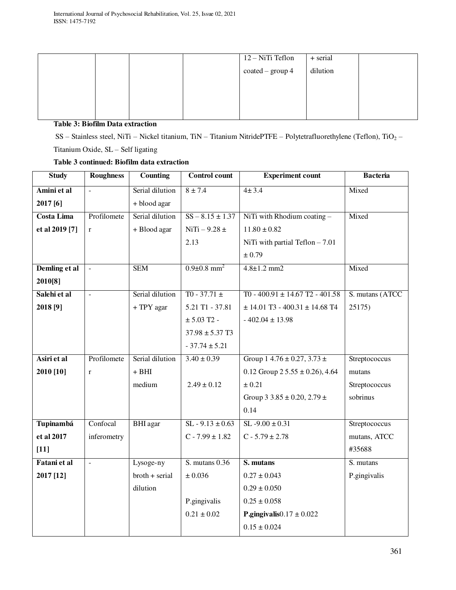| $\overline{12-NiT}$ i Teflon<br>+ serial      |  |
|-----------------------------------------------|--|
|                                               |  |
| dilution<br>$\text{coated} - \text{group } 4$ |  |
|                                               |  |
|                                               |  |
|                                               |  |

## **Table 3: Biofilm Data extraction**

SS – Stainless steel, NiTi – Nickel titanium, TiN – Titanium NitridePTFE – Polytetrafluorethylene (Teflon), TiO<sub>2</sub> – Titanium Oxide, SL – Self ligating

# **Table 3 continued: Biofilm data extraction**

| <b>Study</b>      | <b>Roughness</b>         | <b>Counting</b>   | <b>Control count</b>          | <b>Experiment count</b>                         | <b>Bacteria</b> |
|-------------------|--------------------------|-------------------|-------------------------------|-------------------------------------------------|-----------------|
| Amini et al       | $\overline{\phantom{a}}$ | Serial dilution   | $8 \pm 7.4$                   | 4 ± 3.4                                         | Mixed           |
| 2017 [6]          |                          | + blood agar      |                               |                                                 |                 |
| <b>Costa Lima</b> | Profilomete              | Serial dilution   | $SS - 8.15 \pm 1.37$          | NiTi with Rhodium coating -                     | Mixed           |
| et al 2019 [7]    | $\mathbf r$              | + Blood agar      | $NiTi - 9.28 \pm$             | $11.80 \pm 0.82$                                |                 |
|                   |                          |                   | 2.13                          | NiTi with partial Teflon $-7.01$                |                 |
|                   |                          |                   |                               | ± 0.79                                          |                 |
| Demling et al     | $\sim$                   | <b>SEM</b>        | $0.9 \pm 0.8$ mm <sup>2</sup> | $4.8 \pm 1.2$ mm2                               | Mixed           |
| 2010[8]           |                          |                   |                               |                                                 |                 |
| Salehi et al      | $\overline{a}$           | Serial dilution   | $T0 - 37.71 \pm$              | $T0 - 400.91 \pm 14.67$ T <sub>2</sub> - 401.58 | S. mutans (ATCC |
| 2018 [9]          |                          | + TPY agar        | 5.21 T1 - 37.81               | $\pm$ 14.01 T3 - 400.31 $\pm$ 14.68 T4          | 25175)          |
|                   |                          |                   | $\pm$ 5.03 T2 -               | $-402.04 \pm 13.98$                             |                 |
|                   |                          |                   | $37.98 \pm 5.37$ T3           |                                                 |                 |
|                   |                          |                   | $-37.74 \pm 5.21$             |                                                 |                 |
| Asiri et al       | Profilomete              | Serial dilution   | $3.40 \pm 0.39$               | Group $14.76 \pm 0.27$ , $3.73 \pm$             | Streptococcus   |
| 2010 [10]         | $\mathbf{r}$             | $+$ BHI           |                               | 0.12 Group $2\,5.55 \pm 0.26$ , 4.64            | mutans          |
|                   |                          | medium            | $2.49 \pm 0.12$               | ± 0.21                                          | Streptococcus   |
|                   |                          |                   |                               | Group 3 3.85 $\pm$ 0.20, 2.79 $\pm$             | sobrinus        |
|                   |                          |                   |                               | 0.14                                            |                 |
| <b>Tupinambá</b>  | Confocal                 | <b>BHI</b> agar   | $SL - 9.13 \pm 0.63$          | $SL - 9.00 \pm 0.31$                            | Streptococcus   |
| et al 2017        | inferometry              |                   | $C - 7.99 \pm 1.82$           | $C - 5.79 \pm 2.78$                             | mutans, ATCC    |
| $[11]$            |                          |                   |                               |                                                 | #35688          |
| Fatani et al      | $\mathbf{r}$             | Lysoge-ny         | $S.$ mutans $0.36$            | S. mutans                                       | S. mutans       |
| 2017 [12]         |                          | $b$ roth + serial | ± 0.036                       | $0.27 \pm 0.043$                                | P.gingivalis    |
|                   |                          | dilution          |                               | $0.29 \pm 0.050$                                |                 |
|                   |                          |                   | P.gingivalis                  | $0.25 \pm 0.058$                                |                 |
|                   |                          |                   | $0.21 \pm 0.02$               | P.gingivalis $0.17 \pm 0.022$                   |                 |
|                   |                          |                   |                               | $0.15 \pm 0.024$                                |                 |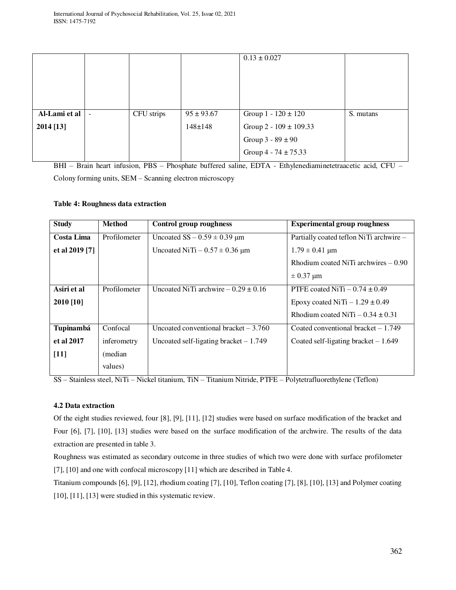|               |                          |            |                | $0.13 \pm 0.027$           |           |
|---------------|--------------------------|------------|----------------|----------------------------|-----------|
|               |                          |            |                |                            |           |
|               |                          |            |                |                            |           |
| Al-Lami et al | $\overline{\phantom{a}}$ | CFU strips | $95 \pm 93.67$ | Group $1 - 120 \pm 120$    | S. mutans |
| 2014 [13]     |                          |            | $148 \pm 148$  | Group $2 - 109 \pm 109.33$ |           |
|               |                          |            |                | Group $3 - 89 \pm 90$      |           |
|               |                          |            |                | Group 4 - 74 $\pm$ 75.33   |           |

BHI – Brain heart infusion, PBS – Phosphate buffered saline, EDTA - Ethylenediaminetetraacetic acid, CFU – Colony forming units, SEM – Scanning electron microscopy

## **Table 4: Roughness data extraction**

| <b>Study</b>   | <b>Method</b> | Control group roughness                 | <b>Experimental group roughness</b>     |
|----------------|---------------|-----------------------------------------|-----------------------------------------|
| Costa Lima     | Profilometer  | Uncoated $SS - 0.59 \pm 0.39$ µm        | Partially coated teflon NiTi archwire - |
| et al 2019 [7] |               | Uncoated NiTi $-0.57 \pm 0.36$ µm       | $1.79 \pm 0.41$ µm                      |
|                |               |                                         | Rhodium coated NiTi archwires $-0.90$   |
|                |               |                                         | $\pm$ 0.37 µm                           |
| Asiri et al    | Profilometer  | Uncoated NiTi archwire $-0.29 \pm 0.16$ | PTFE coated NiTi $-0.74 \pm 0.49$       |
| 2010 [10]      |               |                                         | Epoxy coated NiTi $-1.29 \pm 0.49$      |
|                |               |                                         | Rhodium coated NiTi $-0.34 \pm 0.31$    |
| Tupinambá      | Confocal      | Uncoated conventional bracket $-3.760$  | Coated conventional bracket $-1.749$    |
| et al 2017     | inferometry   | Uncoated self-ligating bracket $-1.749$ | Coated self-ligating bracket $-1.649$   |
| $[11]$         | (median)      |                                         |                                         |
|                | values)       |                                         |                                         |

SS – Stainless steel, NiTi – Nickel titanium, TiN – Titanium Nitride, PTFE – Polytetrafluorethylene (Teflon)

## **4.2 Data extraction**

Of the eight studies reviewed, four [8], [9], [11], [12] studies were based on surface modification of the bracket and Four [6], [7], [10], [13] studies were based on the surface modification of the archwire. The results of the data extraction are presented in table 3.

Roughness was estimated as secondary outcome in three studies of which two were done with surface profilometer [7], [10] and one with confocal microscopy [11] which are described in Table 4.

Titanium compounds [6], [9], [12], rhodium coating [7], [10], Teflon coating [7], [8], [10], [13] and Polymer coating [10], [11], [13] were studied in this systematic review.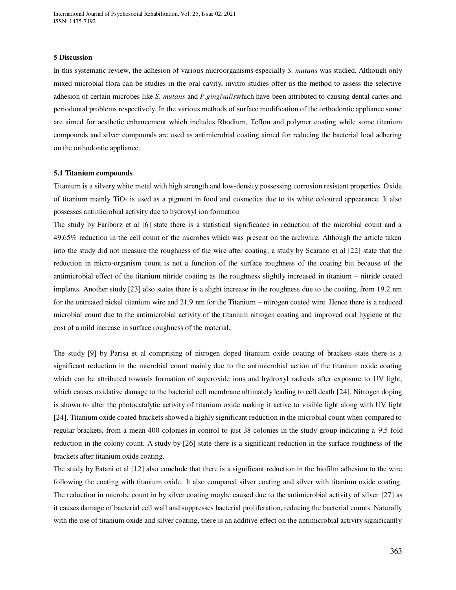#### **5 Discussion**

In this systematic review, the adhesion of various microorganisms especially *S. mutans* was studied. Although only mixed microbial flora can be studies in the oral cavity, invitro studies offer us the method to assess the selective adhesion of certain microbes like *S. mutans* and *P.gingivalis*which have been attributed to causing dental caries and periodontal problems respectively. In the various methods of surface modification of the orthodontic appliance some are aimed for aesthetic enhancement which includes Rhodium, Teflon and polymer coating while some titanium compounds and silver compounds are used as antimicrobial coating aimed for reducing the bacterial load adhering on the orthodontic appliance.

#### **5.1 Titanium compounds**

Titanium is a silvery white metal with high strength and low-density possessing corrosion resistant properties. Oxide of titanium mainly  $TiO<sub>2</sub>$  is used as a pigment in food and cosmetics due to its white coloured appearance. It also possesses antimicrobial activity due to hydroxyl ion formation

The study by Fariborz et al [6] state there is a statistical significance in reduction of the microbial count and a 49.65% reduction in the cell count of the microbes which was present on the archwire. Although the article taken into the study did not measure the roughness of the wire after coating, a study by Scarano et al [22] state that the reduction in micro-organism count is not a function of the surface roughness of the coating but because of the antimicrobial effect of the titanium nitride coating as the roughness slightly increased in titanium – nitride coated implants. Another study [23] also states there is a slight increase in the roughness due to the coating, from 19.2 nm for the untreated nickel titanium wire and 21.9 nm for the Titanium – nitrogen coated wire. Hence there is a reduced microbial count due to the antimicrobial activity of the titanium nitrogen coating and improved oral hygiene at the cost of a mild increase in surface roughness of the material.

The study [9] by Parisa et al comprising of nitrogen doped titanium oxide coating of brackets state there is a significant reduction in the microbial count mainly due to the antimicrobial action of the titanium oxide coating which can be attributed towards formation of superoxide ions and hydroxyl radicals after exposure to UV light, which causes oxidative damage to the bacterial cell membrane ultimately leading to cell death [24]. Nitrogen doping is shown to alter the photocatalytic activity of titanium oxide making it active to visible light along with UV light [24]. Titanium oxide coated brackets showed a highly significant reduction in the microbial count when compared to regular brackets, from a mean 400 colonies in control to just 38 colonies in the study group indicating a 9.5-fold reduction in the colony count. A study by [26] state there is a significant reduction in the surface roughness of the brackets after titanium oxide coating.

The study by Fatani et al [12] also conclude that there is a significant reduction in the biofilm adhesion to the wire following the coating with titanium oxide. It also compared silver coating and silver with titanium oxide coating. The reduction in microbe count in by silver coating maybe caused due to the antimicrobial activity of silver [27] as it causes damage of bacterial cell wall and suppresses bacterial proliferation, reducing the bacterial counts. Naturally with the use of titanium oxide and silver coating, there is an additive effect on the antimicrobial activity significantly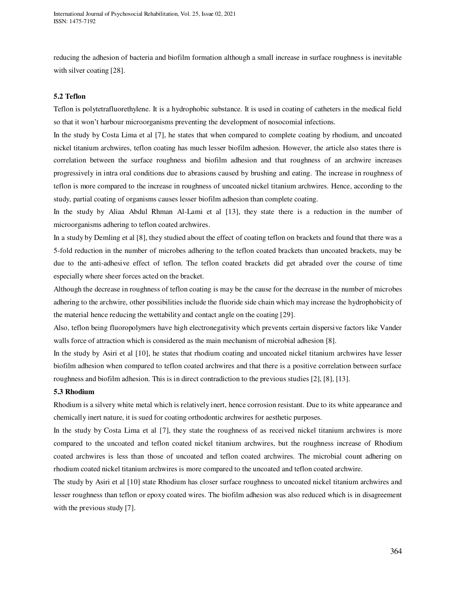reducing the adhesion of bacteria and biofilm formation although a small increase in surface roughness is inevitable with silver coating [28].

## **5.2 Teflon**

Teflon is polytetrafluorethylene. It is a hydrophobic substance. It is used in coating of catheters in the medical field so that it won't harbour microorganisms preventing the development of nosocomial infections.

In the study by Costa Lima et al [7], he states that when compared to complete coating by rhodium, and uncoated nickel titanium archwires, teflon coating has much lesser biofilm adhesion. However, the article also states there is correlation between the surface roughness and biofilm adhesion and that roughness of an archwire increases progressively in intra oral conditions due to abrasions caused by brushing and eating. The increase in roughness of teflon is more compared to the increase in roughness of uncoated nickel titanium archwires. Hence, according to the study, partial coating of organisms causes lesser biofilm adhesion than complete coating.

In the study by Aliaa Abdul Rhman Al-Lami et al [13], they state there is a reduction in the number of microorganisms adhering to teflon coated archwires.

In a study by Demling et al [8], they studied about the effect of coating teflon on brackets and found that there was a 5-fold reduction in the number of microbes adhering to the teflon coated brackets than uncoated brackets, may be due to the anti-adhesive effect of teflon. The teflon coated brackets did get abraded over the course of time especially where sheer forces acted on the bracket.

Although the decrease in roughness of teflon coating is may be the cause for the decrease in the number of microbes adhering to the archwire, other possibilities include the fluoride side chain which may increase the hydrophobicity of the material hence reducing the wettability and contact angle on the coating [29].

Also, teflon being fluoropolymers have high electronegativity which prevents certain dispersive factors like Vander walls force of attraction which is considered as the main mechanism of microbial adhesion [8].

In the study by Asiri et al [10], he states that rhodium coating and uncoated nickel titanium archwires have lesser biofilm adhesion when compared to teflon coated archwires and that there is a positive correlation between surface roughness and biofilm adhesion. This is in direct contradiction to the previous studies [2], [8], [13].

### **5.3 Rhodium**

Rhodium is a silvery white metal which is relatively inert, hence corrosion resistant. Due to its white appearance and chemically inert nature, it is sued for coating orthodontic archwires for aesthetic purposes.

In the study by Costa Lima et al [7], they state the roughness of as received nickel titanium archwires is more compared to the uncoated and teflon coated nickel titanium archwires, but the roughness increase of Rhodium coated archwires is less than those of uncoated and teflon coated archwires. The microbial count adhering on rhodium coated nickel titanium archwires is more compared to the uncoated and teflon coated archwire.

The study by Asiri et al [10] state Rhodium has closer surface roughness to uncoated nickel titanium archwires and lesser roughness than teflon or epoxy coated wires. The biofilm adhesion was also reduced which is in disagreement with the previous study [7].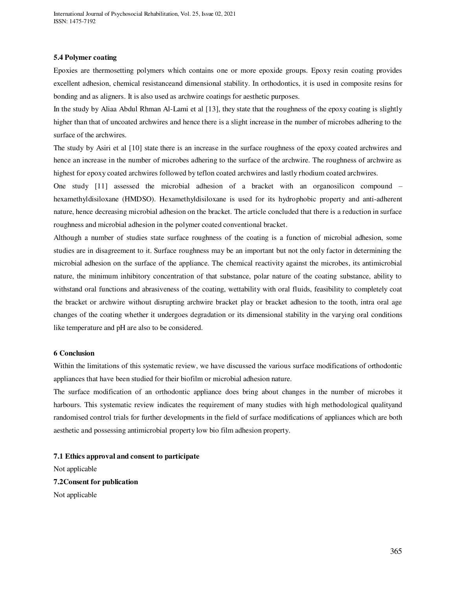### **5.4 Polymer coating**

Epoxies are thermosetting polymers which contains one or more epoxide groups. Epoxy resin coating provides excellent adhesion, chemical resistanceand dimensional stability. In orthodontics, it is used in composite resins for bonding and as aligners. It is also used as archwire coatings for aesthetic purposes.

In the study by Aliaa Abdul Rhman Al-Lami et al [13], they state that the roughness of the epoxy coating is slightly higher than that of uncoated archwires and hence there is a slight increase in the number of microbes adhering to the surface of the archwires.

The study by Asiri et al [10] state there is an increase in the surface roughness of the epoxy coated archwires and hence an increase in the number of microbes adhering to the surface of the archwire. The roughness of archwire as highest for epoxy coated archwires followed by teflon coated archwires and lastly rhodium coated archwires.

One study [11] assessed the microbial adhesion of a bracket with an organosilicon compound – hexamethyldisiloxane (HMDSO). Hexamethyldisiloxane is used for its hydrophobic property and anti-adherent nature, hence decreasing microbial adhesion on the bracket. The article concluded that there is a reduction in surface roughness and microbial adhesion in the polymer coated conventional bracket.

Although a number of studies state surface roughness of the coating is a function of microbial adhesion, some studies are in disagreement to it. Surface roughness may be an important but not the only factor in determining the microbial adhesion on the surface of the appliance. The chemical reactivity against the microbes, its antimicrobial nature, the minimum inhibitory concentration of that substance, polar nature of the coating substance, ability to withstand oral functions and abrasiveness of the coating, wettability with oral fluids, feasibility to completely coat the bracket or archwire without disrupting archwire bracket play or bracket adhesion to the tooth, intra oral age changes of the coating whether it undergoes degradation or its dimensional stability in the varying oral conditions like temperature and pH are also to be considered.

#### **6 Conclusion**

Within the limitations of this systematic review, we have discussed the various surface modifications of orthodontic appliances that have been studied for their biofilm or microbial adhesion nature.

The surface modification of an orthodontic appliance does bring about changes in the number of microbes it harbours. This systematic review indicates the requirement of many studies with high methodological qualityand randomised control trials for further developments in the field of surface modifications of appliances which are both aesthetic and possessing antimicrobial property low bio film adhesion property.

## **7.1 Ethics approval and consent to participate**

Not applicable **7.2Consent for publication**  Not applicable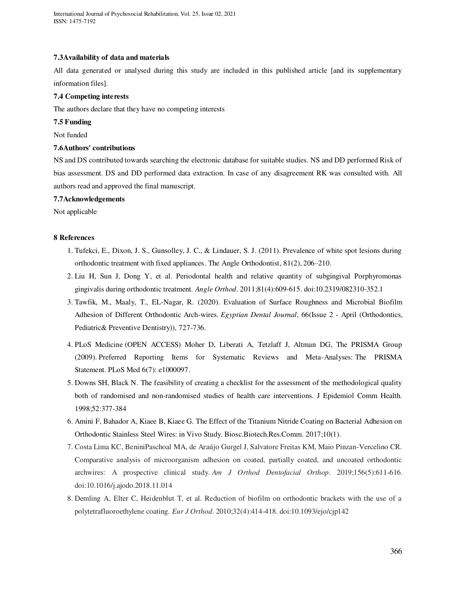International Journal of Psychosocial Rehabilitation, Vol. 25, Issue 02, 2021 ISSN: 1475-7192

### **7.3Availability of data and materials**

All data generated or analysed during this study are included in this published article [and its supplementary information files].

## **7.4 Competing interests**

The authors declare that they have no competing interests

## **7.5 Funding**

Not funded

## **7.6Authors' contributions**

NS and DS contributed towards searching the electronic database for suitable studies. NS and DD performed Risk of bias assessment. DS and DD performed data extraction. In case of any disagreement RK was consulted with. All authors read and approved the final manuscript.

### **7.7Acknowledgements**

Not applicable

### **8 References**

- 1. Tufekci, E., Dixon, J. S., Gunsolley, J. C., & Lindauer, S. J. (2011). Prevalence of white spot lesions during orthodontic treatment with fixed appliances. The Angle Orthodontist, 81(2), 206–210.
- 2. Liu H, Sun J, Dong Y, et al. Periodontal health and relative quantity of subgingival Porphyromonas gingivalis during orthodontic treatment. *Angle Orthod*. 2011;81(4):609-615. doi:10.2319/082310-352.1
- 3. Tawfik, M., Maaly, T., EL-Nagar, R. (2020). Evaluation of Surface Roughness and Microbial Biofilm Adhesion of Different Orthodontic Arch-wires. *Egyptian Dental Journal*, 66(Issue 2 - April (Orthodontics, Pediatric& Preventive Dentistry)), 727-736.
- 4. [PLoS Medicine \(](http://journals.plos.org/plosmedicine/)OPEN ACCESS) Moher D, Liberati A, Tetzlaff J, Altman DG, The PRISMA Group (2009). Preferred Reporting Items for Systematic Reviews and Meta-Analyses: The PRISMA Statement. [PLoS Med 6\(7\): e1000097.](http://journals.plos.org/plosmedicine/article?id=10.1371/journal.pmed.1000097)
- 5. Downs SH, Black N. The feasibility of creating a checklist for the assessment of the methodological quality both of randomised and non-randomised studies of health care interventions. J Epidemiol Comm Health. 1998;52:377-384
- 6. Amini F, Bahador A, Kiaee B, Kiaee G. The Effect of the Titanium Nitride Coating on Bacterial Adhesion on Orthodontic Stainless Steel Wires: in Vivo Study. Biosc.Biotech.Res.Comm. 2017;10(1).
- 7. Costa Lima KC, BeniniPaschoal MA, de Araújo Gurgel J, Salvatore Freitas KM, Maio Pinzan-Vercelino CR. Comparative analysis of microorganism adhesion on coated, partially coated, and uncoated orthodontic archwires: A prospective clinical study. *Am J Orthod Dentofacial Orthop*. 2019;156(5):611-616. doi:10.1016/j.ajodo.2018.11.014
- 8. Demling A, Elter C, Heidenblut T, et al. Reduction of biofilm on orthodontic brackets with the use of a polytetrafluoroethylene coating. *Eur J Orthod*. 2010;32(4):414-418. doi:10.1093/ejo/cjp142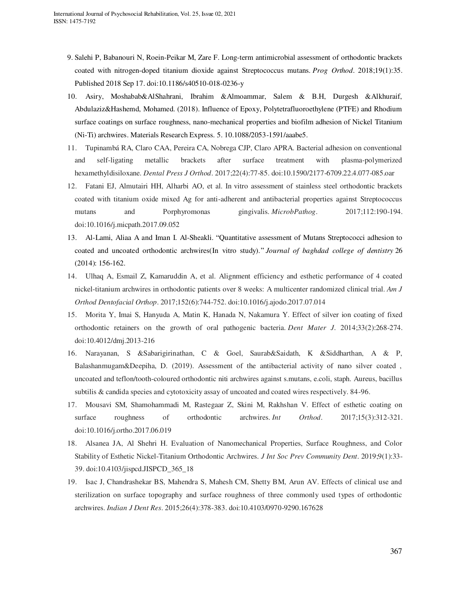- 9. Salehi P, Babanouri N, Roein-Peikar M, Zare F. Long-term antimicrobial assessment of orthodontic brackets coated with nitrogen-doped titanium dioxide against Streptococcus mutans. *Prog Orthod*. 2018;19(1):35. Published 2018 Sep 17. doi:10.1186/s40510-018-0236-y
- 10. Asiry, Moshabab&AlShahrani, Ibrahim &Almoammar, Salem & B.H, Durgesh &Alkhuraif, Abdulaziz&Hashemd, Mohamed. (2018). Influence of Epoxy, Polytetrafluoroethylene (PTFE) and Rhodium surface coatings on surface roughness, nano-mechanical properties and biofilm adhesion of Nickel Titanium (Ni-Ti) archwires. Materials Research Express. 5. 10.1088/2053-1591/aaabe5.
- 11. Tupinambá RA, Claro CAA, Pereira CA, Nobrega CJP, Claro APRA. Bacterial adhesion on conventional and self-ligating metallic brackets after surface treatment with plasma-polymerized hexamethyldisiloxane. *Dental Press J Orthod*. 2017;22(4):77-85. doi:10.1590/2177-6709.22.4.077-085.oar
- 12. Fatani EJ, Almutairi HH, Alharbi AO, et al. In vitro assessment of stainless steel orthodontic brackets coated with titanium oxide mixed Ag for anti-adherent and antibacterial properties against Streptococcus mutans and Porphyromonas gingivalis. *MicrobPathog*. 2017;112:190-194. doi:10.1016/j.micpath.2017.09.052
- 13. Al-Lami, Aliaa A and Iman I. Al-Sheakli. "Quantitative assessment of Mutans Streptococci adhesion to coated and uncoated orthodontic archwires(In vitro study)." *Journal of baghdad college of dentistry* 26 (2014): 156-162.
- 14. Ulhaq A, Esmail Z, Kamaruddin A, et al. Alignment efficiency and esthetic performance of 4 coated nickel-titanium archwires in orthodontic patients over 8 weeks: A multicenter randomized clinical trial. *Am J Orthod Dentofacial Orthop*. 2017;152(6):744-752. doi:10.1016/j.ajodo.2017.07.014
- 15. Morita Y, Imai S, Hanyuda A, Matin K, Hanada N, Nakamura Y. Effect of silver ion coating of fixed orthodontic retainers on the growth of oral pathogenic bacteria. *Dent Mater J*. 2014;33(2):268-274. doi:10.4012/dmj.2013-216
- 16. Narayanan, S &Sabarigirinathan, C & Goel, Saurab&Saidath, K &Siddharthan, A & P, Balashanmugam&Deepiha, D. (2019). Assessment of the antibacterial activity of nano silver coated , uncoated and teflon/tooth-coloured orthodontic niti archwires against s.mutans, e.coli, staph. Aureus, bacillus subtilis & candida species and cytotoxicity assay of uncoated and coated wires respectively. 84-96.
- 17. Mousavi SM, Shamohammadi M, Rastegaar Z, Skini M, Rakhshan V. Effect of esthetic coating on surface roughness of orthodontic archwires. *Int Orthod*. 2017;15(3):312-321. doi:10.1016/j.ortho.2017.06.019
- 18. Alsanea JA, Al Shehri H. Evaluation of Nanomechanical Properties, Surface Roughness, and Color Stability of Esthetic Nickel-Titanium Orthodontic Archwires. *J Int Soc Prev Community Dent*. 2019;9(1):33- 39. doi:10.4103/jispcd.JISPCD\_365\_18
- 19. Isac J, Chandrashekar BS, Mahendra S, Mahesh CM, Shetty BM, Arun AV. Effects of clinical use and sterilization on surface topography and surface roughness of three commonly used types of orthodontic archwires. *Indian J Dent Res*. 2015;26(4):378-383. doi:10.4103/0970-9290.167628